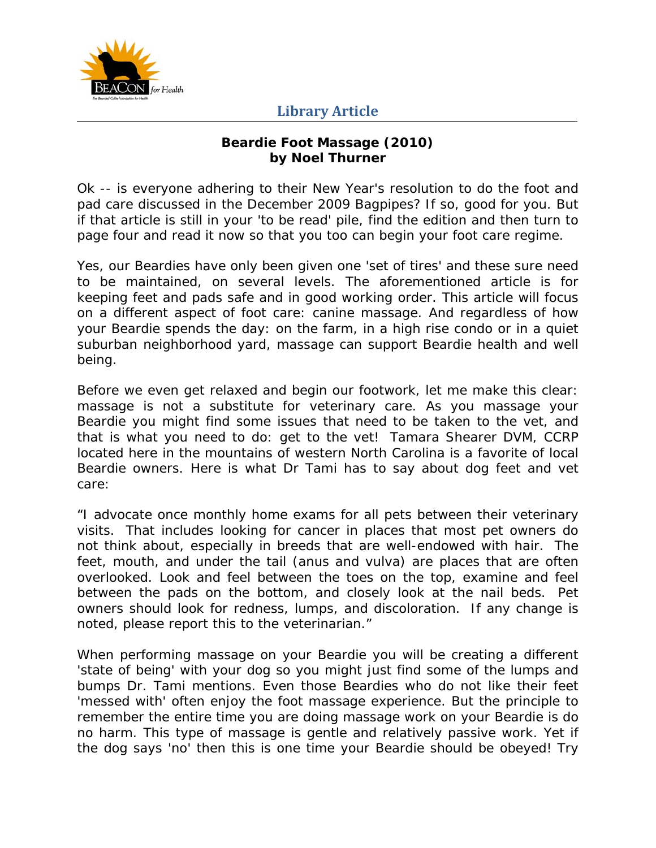

#### **Beardie Foot Massage (2010) by Noel Thurner**

Ok -- is everyone adhering to their New Year's resolution to do the foot and pad care discussed in the December 2009 Bagpipes? If so, good for you. But if that article is still in your 'to be read' pile, find the edition and then turn to page four and read it now so that you too can begin your foot care regime.

Yes, our Beardies have only been given one 'set of tires' and these sure need to be maintained, on several levels. The aforementioned article is for keeping feet and pads safe and in good working order. This article will focus on a different aspect of foot care: canine massage. And regardless of how your Beardie spends the day: on the farm, in a high rise condo or in a quiet suburban neighborhood yard, massage can support Beardie health and well being.

Before we even get relaxed and begin our footwork, let me make this clear: massage is not a substitute for veterinary care. As you massage your Beardie you might find some issues that need to be taken to the vet, and that is what you need to do: get to the vet! Tamara Shearer DVM, CCRP located here in the mountains of western North Carolina is a favorite of local Beardie owners. Here is what Dr Tami has to say about dog feet and vet care:

"I advocate once monthly home exams for all pets between their veterinary visits. That includes looking for cancer in places that most pet owners do not think about, especially in breeds that are well-endowed with hair. The feet, mouth, and under the tail (anus and vulva) are places that are often overlooked. Look and feel between the toes on the top, examine and feel between the pads on the bottom, and closely look at the nail beds. Pet owners should look for redness, lumps, and discoloration. If any change is noted, please report this to the veterinarian."

When performing massage on your Beardie you will be creating a different 'state of being' with your dog so you might just find some of the lumps and bumps Dr. Tami mentions. Even those Beardies who do not like their feet 'messed with' often enjoy the foot massage experience. But the principle to remember the entire time you are doing massage work on your Beardie is do no harm. This type of massage is gentle and relatively passive work. Yet if the dog says 'no' then this is one time your Beardie should be obeyed! Try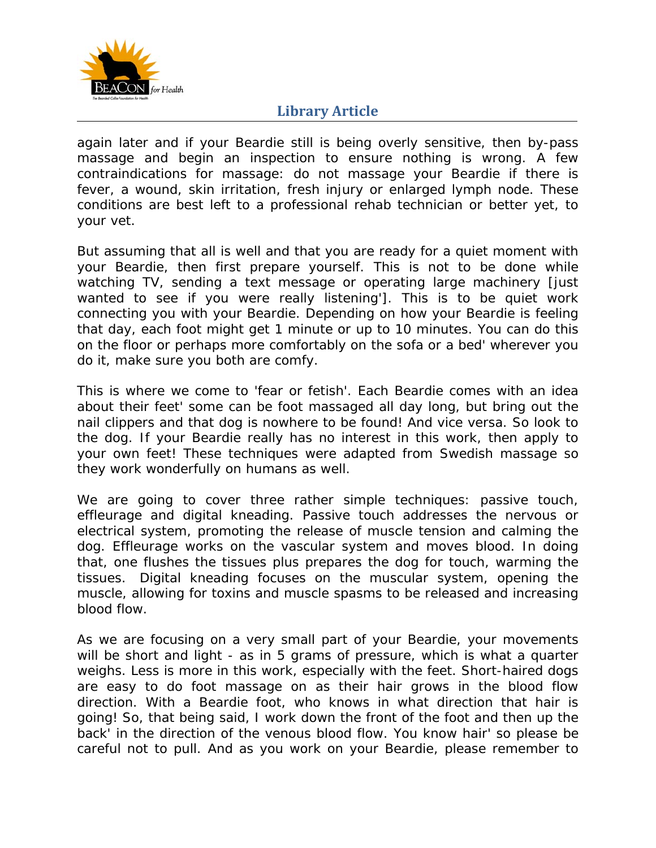

again later and if your Beardie still is being overly sensitive, then by-pass massage and begin an inspection to ensure nothing is wrong. A few contraindications for massage: do not massage your Beardie if there is fever, a wound, skin irritation, fresh injury or enlarged lymph node. These conditions are best left to a professional rehab technician or better yet, to your vet.

But assuming that all is well and that you are ready for a quiet moment with your Beardie, then first prepare yourself. This is not to be done while watching TV, sending a text message or operating large machinery [just] wanted to see if you were really listening']. This is to be quiet work connecting you with your Beardie. Depending on how your Beardie is feeling that day, each foot might get 1 minute or up to 10 minutes. You can do this on the floor or perhaps more comfortably on the sofa or a bed' wherever you do it, make sure you both are comfy.

This is where we come to 'fear or fetish'. Each Beardie comes with an idea about their feet' some can be foot massaged all day long, but bring out the nail clippers and that dog is nowhere to be found! And vice versa. So look to the dog. If your Beardie really has no interest in this work, then apply to your own feet! These techniques were adapted from Swedish massage so they work wonderfully on humans as well.

We are going to cover three rather simple techniques: passive touch, effleurage and digital kneading. Passive touch addresses the nervous or electrical system, promoting the release of muscle tension and calming the dog. Effleurage works on the vascular system and moves blood. In doing that, one flushes the tissues plus prepares the dog for touch, warming the tissues. Digital kneading focuses on the muscular system, opening the muscle, allowing for toxins and muscle spasms to be released and increasing blood flow.

As we are focusing on a very small part of your Beardie, your movements will be short and light - as in 5 grams of pressure, which is what a quarter weighs. Less is more in this work, especially with the feet. Short-haired dogs are easy to do foot massage on as their hair grows in the blood flow direction. With a Beardie foot, who knows in what direction that hair is going! So, that being said, I work down the front of the foot and then up the back' in the direction of the venous blood flow. You know hair' so please be careful not to pull. And as you work on your Beardie, please remember to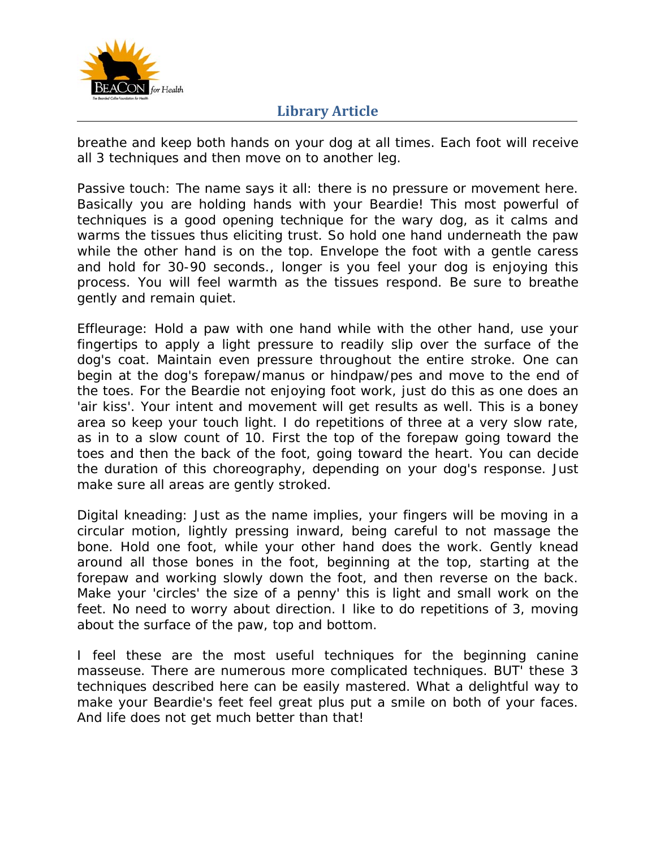

breathe and keep both hands on your dog at all times. Each foot will receive all 3 techniques and then move on to another leg.

Passive touch: The name says it all: there is no pressure or movement here. Basically you are holding hands with your Beardie! This most powerful of techniques is a good opening technique for the wary dog, as it calms and warms the tissues thus eliciting trust. So hold one hand underneath the paw while the other hand is on the top. Envelope the foot with a gentle caress and hold for 30-90 seconds., longer is you feel your dog is enjoying this process. You will feel warmth as the tissues respond. Be sure to breathe gently and remain quiet.

Effleurage: Hold a paw with one hand while with the other hand, use your fingertips to apply a light pressure to readily slip over the surface of the dog's coat. Maintain even pressure throughout the entire stroke. One can begin at the dog's forepaw/manus or hindpaw/pes and move to the end of the toes. For the Beardie not enjoying foot work, just do this as one does an 'air kiss'. Your intent and movement will get results as well. This is a boney area so keep your touch light. I do repetitions of three at a very slow rate, as in to a slow count of 10. First the top of the forepaw going toward the toes and then the back of the foot, going toward the heart. You can decide the duration of this choreography, depending on your dog's response. Just make sure all areas are gently stroked.

Digital kneading: Just as the name implies, your fingers will be moving in a circular motion, lightly pressing inward, being careful to not massage the bone. Hold one foot, while your other hand does the work. Gently knead around all those bones in the foot, beginning at the top, starting at the forepaw and working slowly down the foot, and then reverse on the back. Make your 'circles' the size of a penny' this is light and small work on the feet. No need to worry about direction. I like to do repetitions of 3, moving about the surface of the paw, top and bottom.

I feel these are the most useful techniques for the beginning canine masseuse. There are numerous more complicated techniques. BUT' these 3 techniques described here can be easily mastered. What a delightful way to make your Beardie's feet feel great plus put a smile on both of your faces. And life does not get much better than that!